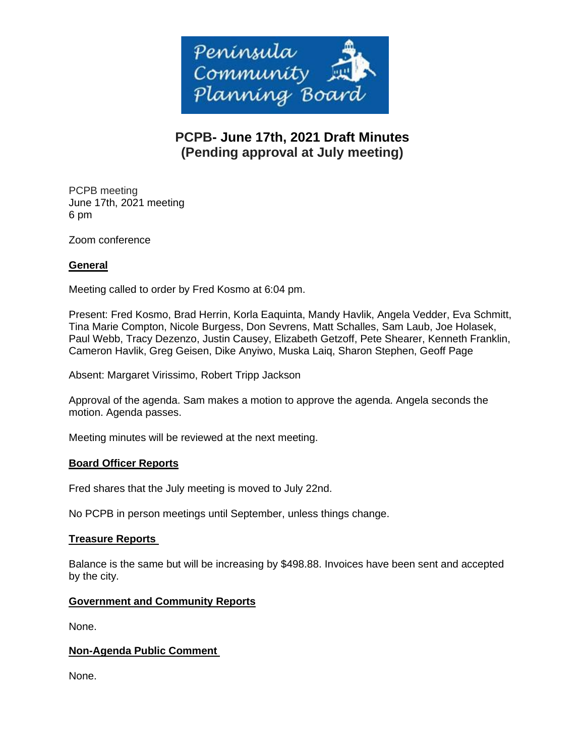

# **PCPB- June 17th, 2021 Draft Minutes (Pending approval at July meeting)**

PCPB meeting June 17th, 2021 meeting 6 pm

Zoom conference

## **General**

Meeting called to order by Fred Kosmo at 6:04 pm.

Present: Fred Kosmo, Brad Herrin, Korla Eaquinta, Mandy Havlik, Angela Vedder, Eva Schmitt, Tina Marie Compton, Nicole Burgess, Don Sevrens, Matt Schalles, Sam Laub, Joe Holasek, Paul Webb, Tracy Dezenzo, Justin Causey, Elizabeth Getzoff, Pete Shearer, Kenneth Franklin, Cameron Havlik, Greg Geisen, Dike Anyiwo, Muska Laiq, Sharon Stephen, Geoff Page

Absent: Margaret Virissimo, Robert Tripp Jackson

Approval of the agenda. Sam makes a motion to approve the agenda. Angela seconds the motion. Agenda passes.

Meeting minutes will be reviewed at the next meeting.

## **Board Officer Reports**

Fred shares that the July meeting is moved to July 22nd.

No PCPB in person meetings until September, unless things change.

## **Treasure Reports**

Balance is the same but will be increasing by \$498.88. Invoices have been sent and accepted by the city.

## **Government and Community Reports**

None.

## **Non-Agenda Public Comment**

None.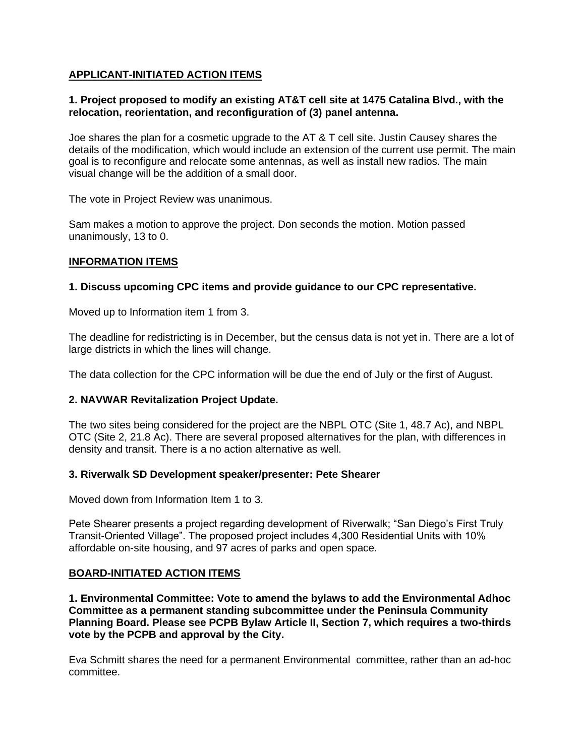## **APPLICANT-INITIATED ACTION ITEMS**

## **1. Project proposed to modify an existing AT&T cell site at 1475 Catalina Blvd., with the relocation, reorientation, and reconfiguration of (3) panel antenna.**

Joe shares the plan for a cosmetic upgrade to the AT & T cell site. Justin Causey shares the details of the modification, which would include an extension of the current use permit. The main goal is to reconfigure and relocate some antennas, as well as install new radios. The main visual change will be the addition of a small door.

The vote in Project Review was unanimous.

Sam makes a motion to approve the project. Don seconds the motion. Motion passed unanimously, 13 to 0.

## **INFORMATION ITEMS**

## **1. Discuss upcoming CPC items and provide guidance to our CPC representative.**

Moved up to Information item 1 from 3.

The deadline for redistricting is in December, but the census data is not yet in. There are a lot of large districts in which the lines will change.

The data collection for the CPC information will be due the end of July or the first of August.

## **2. NAVWAR Revitalization Project Update.**

The two sites being considered for the project are the NBPL OTC (Site 1, 48.7 Ac), and NBPL OTC (Site 2, 21.8 Ac). There are several proposed alternatives for the plan, with differences in density and transit. There is a no action alternative as well.

#### **3. Riverwalk SD Development speaker/presenter: Pete Shearer**

Moved down from Information Item 1 to 3.

Pete Shearer presents a project regarding development of Riverwalk; "San Diego's First Truly Transit-Oriented Village". The proposed project includes 4,300 Residential Units with 10% affordable on-site housing, and 97 acres of parks and open space.

#### **BOARD-INITIATED ACTION ITEMS**

**1. Environmental Committee: Vote to amend the bylaws to add the Environmental Adhoc Committee as a permanent standing subcommittee under the Peninsula Community Planning Board. Please see PCPB Bylaw Article II, Section 7, which requires a two-thirds vote by the PCPB and approval by the City.**

Eva Schmitt shares the need for a permanent Environmental committee, rather than an ad-hoc committee.